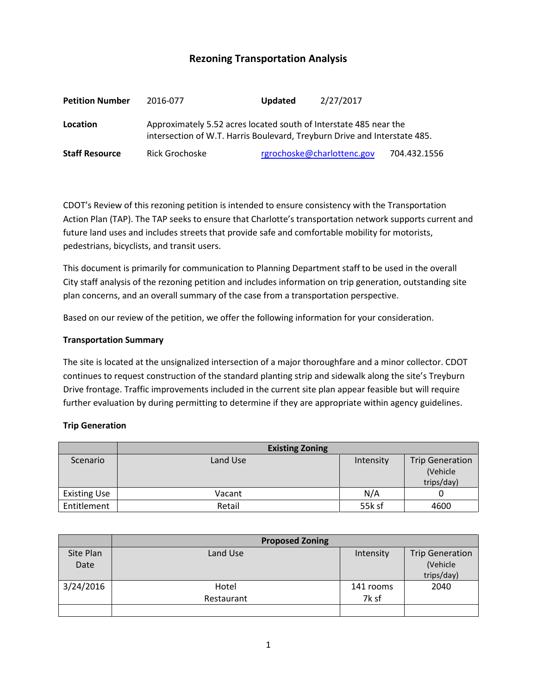# **Rezoning Transportation Analysis**

| <b>Petition Number</b> | 2016-077                                                                                                                                       | <b>Updated</b> | 2/27/2017                  |              |  |
|------------------------|------------------------------------------------------------------------------------------------------------------------------------------------|----------------|----------------------------|--------------|--|
| Location               | Approximately 5.52 acres located south of Interstate 485 near the<br>intersection of W.T. Harris Boulevard, Treyburn Drive and Interstate 485. |                |                            |              |  |
| <b>Staff Resource</b>  | Rick Grochoske                                                                                                                                 |                | rgrochoske@charlottenc.gov | 704.432.1556 |  |

CDOT's Review of this rezoning petition is intended to ensure consistency with the Transportation Action Plan (TAP). The TAP seeks to ensure that Charlotte's transportation network supports current and future land uses and includes streets that provide safe and comfortable mobility for motorists, pedestrians, bicyclists, and transit users.

This document is primarily for communication to Planning Department staff to be used in the overall City staff analysis of the rezoning petition and includes information on trip generation, outstanding site plan concerns, and an overall summary of the case from a transportation perspective.

Based on our review of the petition, we offer the following information for your consideration.

# **Transportation Summary**

The site is located at the unsignalized intersection of a major thoroughfare and a minor collector. CDOT continues to request construction of the standard planting strip and sidewalk along the site's Treyburn Drive frontage. Traffic improvements included in the current site plan appear feasible but will require further evaluation by during permitting to determine if they are appropriate within agency guidelines.

# **Trip Generation**

|                     | <b>Existing Zoning</b> |           |                        |
|---------------------|------------------------|-----------|------------------------|
| Scenario            | Land Use               | Intensity | <b>Trip Generation</b> |
|                     |                        |           | (Vehicle)              |
|                     |                        |           | trips/day)             |
| <b>Existing Use</b> | Vacant                 | N/A       |                        |
| Entitlement         | Retail                 | 55k sf    | 4600                   |

|           | <b>Proposed Zoning</b> |           |                        |
|-----------|------------------------|-----------|------------------------|
| Site Plan | Land Use               | Intensity | <b>Trip Generation</b> |
| Date      |                        |           | (Vehicle               |
|           |                        |           | trips/day)             |
| 3/24/2016 | Hotel                  | 141 rooms | 2040                   |
|           | Restaurant             | 7k sf     |                        |
|           |                        |           |                        |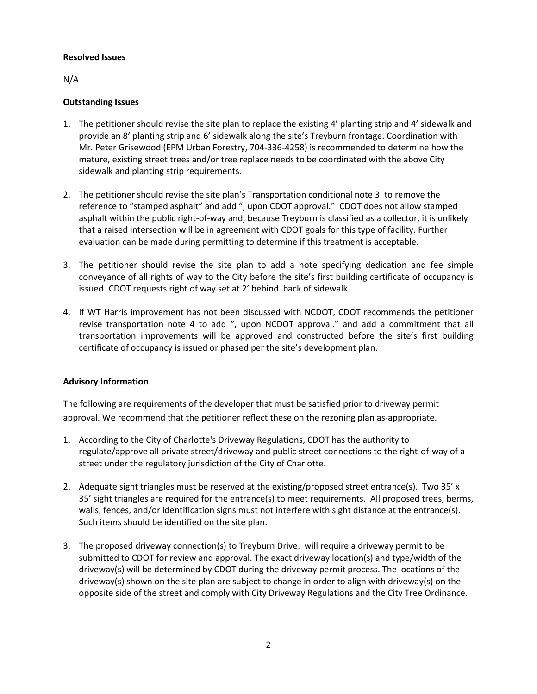#### **Resolved Issues**

N/A

# **Outstanding Issues**

- 1. The petitioner should revise the site plan to replace the existing 4' planting strip and 4' sidewalk and provide an 8' planting strip and 6' sidewalk along the site's Treyburn frontage. Coordination with Mr. Peter Grisewood (EPM Urban Forestry, 704-336-4258) is recommended to determine how the mature, existing street trees and/or tree replace needs to be coordinated with the above City sidewalk and planting strip requirements.
- 2. The petitioner should revise the site plan's Transportation conditional note 3. to remove the reference to "stamped asphalt" and add ", upon CDOT approval." CDOT does not allow stamped asphalt within the public right-of-way and, because Treyburn is classified as a collector, it is unlikely that a raised intersection will be in agreement with CDOT goals for this type of facility. Further evaluation can be made during permitting to determine if this treatment is acceptable.
- 3. The petitioner should revise the site plan to add a note specifying dedication and fee simple conveyance of all rights of way to the City before the site's first building certificate of occupancy is issued. CDOT requests right of way set at 2' behind back of sidewalk.
- 4. If WT Harris improvement has not been discussed with NCDOT, CDOT recommends the petitioner revise transportation note 4 to add ", upon NCDOT approval." and add a commitment that all transportation improvements will be approved and constructed before the site's first building certificate of occupancy is issued or phased per the site's development plan.

# **Advisory Information**

The following are requirements of the developer that must be satisfied prior to driveway permit approval. We recommend that the petitioner reflect these on the rezoning plan as-appropriate.

- 1. According to the City of Charlotte's Driveway Regulations, CDOT has the authority to regulate/approve all private street/driveway and public street connections to the right-of-way of a street under the regulatory jurisdiction of the City of Charlotte.
- 2. Adequate sight triangles must be reserved at the existing/proposed street entrance(s). Two 35' x 35' sight triangles are required for the entrance(s) to meet requirements. All proposed trees, berms, walls, fences, and/or identification signs must not interfere with sight distance at the entrance(s). Such items should be identified on the site plan.
- 3. The proposed driveway connection(s) to Treyburn Drive. will require a driveway permit to be submitted to CDOT for review and approval. The exact driveway location(s) and type/width of the driveway(s) will be determined by CDOT during the driveway permit process. The locations of the driveway(s) shown on the site plan are subject to change in order to align with driveway(s) on the opposite side of the street and comply with City Driveway Regulations and the City Tree Ordinance.